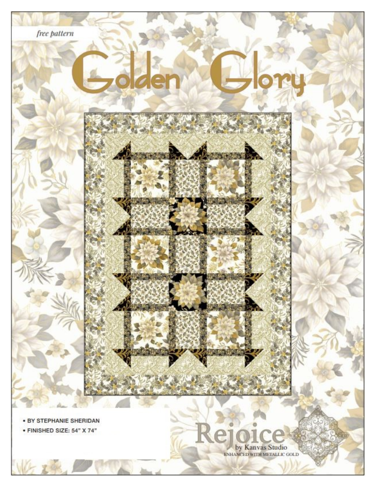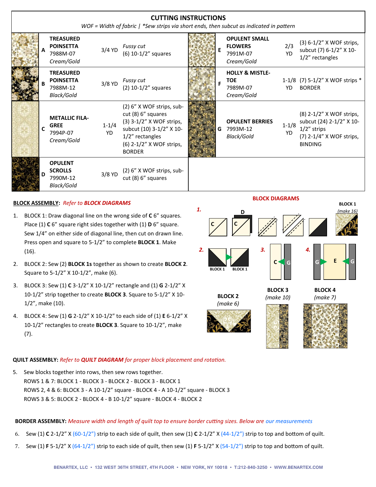| <b>CUTTING INSTRUCTIONS</b><br>WOF = Width of fabric   *Sew strips via short ends, then subcut as indicated in pattern |   |                                                                       |                 |                                                                                                                                                                         |  |   |                                                                    |                        |                                                                                                                      |
|------------------------------------------------------------------------------------------------------------------------|---|-----------------------------------------------------------------------|-----------------|-------------------------------------------------------------------------------------------------------------------------------------------------------------------------|--|---|--------------------------------------------------------------------|------------------------|----------------------------------------------------------------------------------------------------------------------|
|                                                                                                                        |   | <b>TREASURED</b><br><b>POINSETTA</b><br>7988M-07<br>Cream/Gold        | $3/4$ YD        | Fussy cut<br>$(6)$ 10-1/2" squares                                                                                                                                      |  |   | <b>OPULENT SMALL</b><br><b>FLOWERS</b><br>7991M-07<br>Cream/Gold   | 2/3<br><b>YD</b>       | $(3) 6 - 1/2" X WOF strips,$<br>subcut (7) 6-1/2" X 10-<br>1/2" rectangles                                           |
|                                                                                                                        |   | <b>TREASURED</b><br><b>POINSETTA</b><br>7988M-12<br><b>Black/Gold</b> | $3/8$ YD        | Fussy cut<br>$(2)$ 10-1/2" squares                                                                                                                                      |  |   | <b>HOLLY &amp; MISTLE-</b><br><b>TOE</b><br>7989M-07<br>Cream/Gold | YD                     | 1-1/8 (7) 5-1/2" X WOF strips *<br><b>BORDER</b>                                                                     |
|                                                                                                                        | C | <b>METALLIC FILA-</b><br><b>GREE</b><br>7994P-07<br>Cream/Gold        | $1 - 1/4$<br>YD | (2) 6" X WOF strips, sub-<br>cut (8) 6" squares<br>(3) 3-1/2" X WOF strips,<br>subcut (10) 3-1/2" X 10-<br>1/2" rectangles<br>(6) 2-1/2" X WOF strips,<br><b>BORDER</b> |  | G | <b>OPULENT BERRIES</b><br>7993M-12<br>Black/Gold                   | $1 - 1/8$<br><b>YD</b> | (8) 2-1/2" X WOF strips,<br>subcut (24) 2-1/2" X 10-<br>$1/2$ " strips<br>(7) 2-1/4" X WOF strips,<br><b>BINDING</b> |
|                                                                                                                        | D | <b>OPULENT</b><br><b>SCROLLS</b><br>7990M-12<br><b>Black/Gold</b>     | 3/8 YD          | (2) 6" X WOF strips, sub-<br>cut (8) 6" squares                                                                                                                         |  |   |                                                                    |                        |                                                                                                                      |

## **BLOCK ASSEMBLY:** *Refer to BLOCK DIAGRAMS*

- 1. BLOCK 1: Draw diagonal line on the wrong side of **C** 6" squares. Place (1) **C** 6" square right sides together with (1) **D** 6" square. Sew 1/4" on either side of diagonal line, then cut on drawn line. Press open and square to 5-1/2" to complete **BLOCK 1**. Make (16).
- 2. BLOCK 2: Sew (2) **BLOCK 1s** together as shown to create **BLOCK 2**. Square to 5-1/2" X 10-1/2", make (6).
- 3. BLOCK 3: Sew (1) **C** 3-1/2" X 10-1/2" rectangle and (1) **G** 2-1/2" X 10-1/2" strip together to create **BLOCK 3**. Square to 5-1/2" X 10- 1/2", make (10).
- 4. BLOCK 4: Sew (1) **G** 2-1/2" X 10-1/2" to each side of (1) **E** 6-1/2" X 10-1/2" rectangles to create **BLOCK 3**. Square to 10-1/2", make (7).

#### **BLOCK DIAGRAMS**



#### **QUILT ASSEMBLY:** *Refer to QUILT DIAGRAM for proper block placement and rotation.*

5. Sew blocks together into rows, then sew rows together. ROWS 1 & 7: BLOCK 1 - BLOCK 3 - BLOCK 2 - BLOCK 3 - BLOCK 1 ROWS 2, 4 & 6: BLOCK 3 - A 10-1/2" square - BLOCK 4 - A 10-1/2" square - BLOCK 3 ROWS 3 & 5: BLOCK 2 - BLOCK 4 - B 10-1/2" square - BLOCK 4 - BLOCK 2

#### **BORDER ASSEMBLY:** *Measure width and length of quilt top to ensure border cutting sizes. Below are our measurements*

- 6. Sew (1) **C** 2-1/2" X (60-1/2") strip to each side of quilt, then sew (1) **C** 2-1/2" X (44-1/2") strip to top and bottom of quilt.
- 7. Sew (1) **F** 5-1/2" X (64-1/2") strip to each side of quilt, then sew (1) **F** 5-1/2" X (54-1/2") strip to top and bottom of quilt.